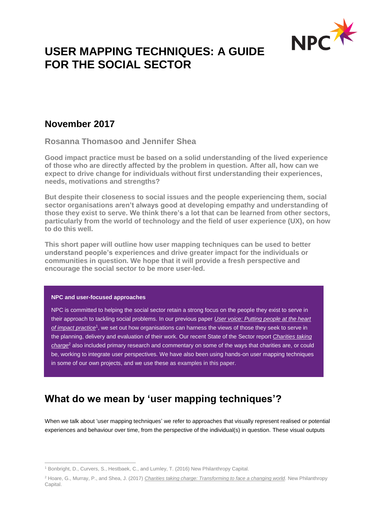

# **USER MAPPING TECHNIQUES: A GUIDE FOR THE SOCIAL SECTOR**

# **November 2017**

**Rosanna Thomasoo and Jennifer Shea**

**Good impact practice must be based on a solid understanding of the lived experience of those who are directly affected by the problem in question. After all, how can we expect to drive change for individuals without first understanding their experiences, needs, motivations and strengths?** 

**But despite their closeness to social issues and the people experiencing them, social sector organisations aren't always good at developing empathy and understanding of those they exist to serve. We think there's a lot that can be learned from other sectors, particularly from the world of technology and the field of user experience (UX), on how to do this well.** 

**This short paper will outline how user mapping techniques can be used to better understand people's experiences and drive greater impact for the individuals or communities in question. We hope that it will provide a fresh perspective and encourage the social sector to be more user-led.**

### **NPC and user-focused approaches**

NPC is committed to helping the social sector retain a strong focus on the people they exist to serve in their approach to tackling social problems. In our previous paper *[User voice: Putting people at the heart](http://www.thinknpc.org/publications/user-voice-putting-people-at-the-heart-of-impact-practice/)*  of *impact practice*<sup>1</sup>, we set out how organisations can harness the views of those they seek to serve in the planning, delivery and evaluation of their work. Our recent State of the Sector report *[Charities taking](http://www.thinknpc.org/publications/charities-taking-charge/)  [charge](http://www.thinknpc.org/publications/charities-taking-charge/)*<sup>2</sup> also included primary research and commentary on some of the ways that charities are, or could be, working to integrate user perspectives. We have also been using hands-on user mapping techniques in some of our own projects, and we use these as examples in this paper.

# **What do we mean by 'user mapping techniques'?**

When we talk about 'user mapping techniques' we refer to approaches that visually represent realised or potential experiences and behaviour over time, from the perspective of the individual(s) in question. These visual outputs

 $\overline{a}$ <sup>1</sup> Bonbright, D., Curvers, S., Hestbaek, C., and Lumley, T. (2016) New Philanthropy Capital.

<sup>2</sup> Hoare, G., Murray, P., and Shea, J. (2017) *[Charities taking charge: Transforming to face a changing world.](http://www.thinknpc.org/publications/charities-taking-charge/)* New Philanthropy Capital.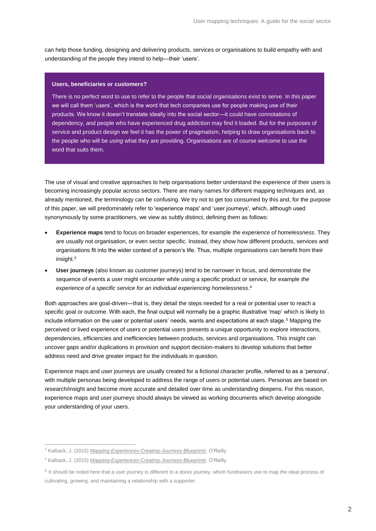can help those funding, designing and delivering products, services or organisations to build empathy with and understanding of the people they intend to help—their 'users'.

#### **Users, beneficiaries or customers?**

There is no perfect word to use to refer to the people that social organisations exist to serve. In this paper we will call them 'users', which is the word that tech companies use for people making use of their products. We know it doesn't translate ideally into the social sector—it could have connotations of dependency, and people who have experienced drug addiction may find it loaded. But for the purposes of service and product design we feel it has the power of pragmatism, helping to draw organisations back to the people who will be *using* what they are providing. Organisations are of course welcome to use the word that suits them.

The use of visual and creative approaches to help organisations better understand the experience of their users is becoming increasingly popular across sectors. There are many names for different mapping techniques and, as already mentioned, the terminology can be confusing. We try not to get too consumed by this and, for the purpose of this paper, we will predominately refer to 'experience maps' and 'user journeys', which, although used synonymously by some practitioners, we view as subtly distinct, defining them as follows:

- **[Experience maps](http://whatusersdo.com/blog/brief-guide-to-ux-maps/)** tend to focus on broader experiences, for example *the experience of homelessness*. They are usually not organisation, or even sector specific. Instead, they show how different products, services and organisations fit into the wider context of a person's life. Thus, multiple organisations can benefit from their insight.<sup>3</sup>
- **[User journeys](http://whatusersdo.com/blog/brief-guide-to-ux-maps/)** (also known as customer journeys) tend to be narrower in focus, and demonstrate the sequence of events a user might encounter while using a specific product or service, for example *the experience of a specific service for an individual experiencing homelessness*. 4

Both approaches are goal-driven—that is, they detail the steps needed for a real or potential user to reach a specific goal or outcome. With each, the final output will normally be a graphic illustrative 'map' which is likely to include information on the user or potential users' needs, wants and expectations at each stage.<sup>5</sup> Mapping the perceived or lived experience of users or potential users presents a unique opportunity to explore interactions, dependencies, efficiencies and inefficiencies between products, services and organisations. This insight can uncover gaps and/or duplications in provision and support decision-makers to develop solutions that better address need and drive greater impact for the individuals in question.

Experience maps and user journeys are usually created for a fictional character profile, referred to as a 'persona', with multiple personas being developed to address the range of users or potential users. Personas are based on research/insight and become more accurate and detailed over time as understanding deepens. For this reason, experience maps and user journeys should always be viewed as working documents which develop alongside your understanding of your users.

 $\overline{a}$ 

<sup>3</sup> Kalback, J. (2015) *[Mapping-Experiences-Creating-Journeys-Blueprints](https://www.amazon.co.uk/Mapping-Experiences-Creating-Journeys-Blueprints/dp/1491923539)*. O'Reilly.

<sup>4</sup> Kalback, J. (2015) *[Mapping-Experiences-Creating-Journeys-Blueprints](https://www.amazon.co.uk/Mapping-Experiences-Creating-Journeys-Blueprints/dp/1491923539)*. O'Reilly.

<sup>&</sup>lt;sup>5</sup> It should be noted here that a user journey is different to a donor journey, which fundraisers use to map the ideal process of cultivating, growing, and maintaining a relationship with a supporter.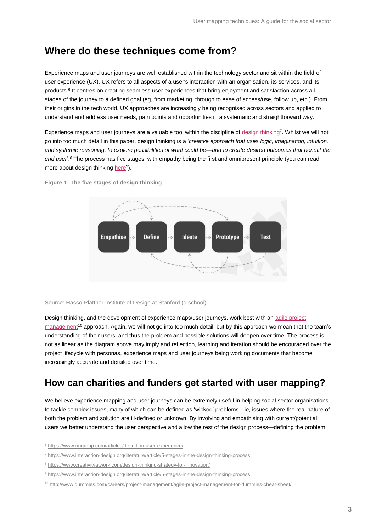# **Where do these techniques come from?**

Experience maps and user journeys are well established within the technology sector and sit within the field of user experience (UX). UX refers to all aspects of a user's interaction with an organisation, its services, and its products.<sup>6</sup> It centres on creating seamless user experiences that bring enjoyment and satisfaction across all stages of the journey to a defined goal (eg, from marketing, through to ease of access/use, follow up, etc.). From their origins in the tech world, UX approaches are increasingly being recognised across sectors and applied to understand and address user needs, pain points and opportunities in a systematic and straightforward way.

Experience maps and user journeys are a valuable tool within the discipline of [design thinking](https://www.interaction-design.org/literature/article/5-stages-in-the-design-thinking-process)<sup>7</sup>. Whilst we will not go into too much detail in this paper, design thinking is a '*creative approach that uses logic, imagination, intuition, and systemic reasoning, to explore possibilities of what could be—and to create desired outcomes that benefit the end user*'.<sup>8</sup> The process has five stages, with empathy being the first and omnipresent principle (you can read more about design thinkin[g here](https://www.interaction-design.org/literature/article/5-stages-in-the-design-thinking-process)<sup>9</sup>).

**Figure 1: The five stages of design thinking**



#### Source: [Hasso-Plattner Institute of Design at Stanford \(d.school\)](https://dschool.stanford.edu/)

Design thinking, and the development of experience maps/user journeys, work best with an agile project [management](http://www.dummies.com/careers/project-management/agile-project-management-for-dummies-cheat-sheet/)<sup>10</sup> approach. Again, we will not go into too much detail, but by this approach we mean that the team's understanding of their users, and thus the problem and possible solutions will deepen over time. The process is not as linear as the diagram above may imply and reflection, learning and iteration should be encouraged over the project lifecycle with personas, experience maps and user journeys being working documents that become increasingly accurate and detailed over time.

# **How can charities and funders get started with user mapping?**

We believe experience mapping and user journeys can be extremely useful in helping social sector organisations to tackle complex issues, many of which can be defined as 'wicked' problems—ie, issues where the real nature of both the problem and solution are ill-defined or unknown. By involving and empathising with current/potential users we better understand the user perspective and allow the rest of the design process—defining the problem,

 $\overline{a}$ 

<sup>6</sup> <https://www.nngroup.com/articles/definition-user-experience/>

<sup>7</sup> <https://www.interaction-design.org/literature/article/5-stages-in-the-design-thinking-process>

<sup>8</sup> <https://www.creativityatwork.com/design-thinking-strategy-for-innovation/>

<sup>9</sup> <https://www.interaction-design.org/literature/article/5-stages-in-the-design-thinking-process>

<sup>10</sup> <http://www.dummies.com/careers/project-management/agile-project-management-for-dummies-cheat-sheet/>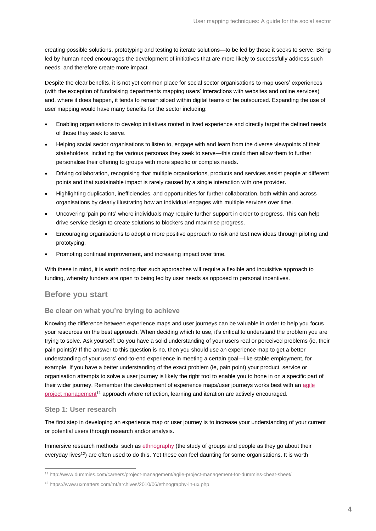creating possible solutions, prototyping and testing to iterate solutions—to be led by those it seeks to serve. Being led by human need encourages the development of initiatives that are more likely to successfully address such needs, and therefore create more impact.

Despite the clear benefits, it is not yet common place for social sector organisations to map users' experiences (with the exception of fundraising departments mapping users' interactions with websites and online services) and, where it does happen, it tends to remain siloed within digital teams or be outsourced. Expanding the use of user mapping would have many benefits for the sector including:

- Enabling organisations to develop initiatives rooted in lived experience and directly target the defined needs of those they seek to serve.
- Helping social sector organisations to listen to, engage with and learn from the diverse viewpoints of their stakeholders, including the various personas they seek to serve—this could then allow them to further personalise their offering to groups with more specific or complex needs.
- Driving collaboration, recognising that multiple organisations, products and services assist people at different points and that sustainable impact is rarely caused by a single interaction with one provider.
- Highlighting duplication, inefficiencies, and opportunities for further collaboration, both within and across organisations by clearly illustrating how an individual engages with multiple services over time.
- Uncovering 'pain points' where individuals may require further support in order to progress. This can help drive service design to create solutions to blockers and maximise progress.
- Encouraging organisations to adopt a more positive approach to risk and test new ideas through piloting and prototyping.
- Promoting continual improvement, and increasing impact over time.

With these in mind, it is worth noting that such approaches will require a flexible and inquisitive approach to funding, whereby funders are open to being led by user needs as opposed to personal incentives.

### **Before you start**

### **Be clear on what you're trying to achieve**

Knowing the difference between experience maps and user journeys can be valuable in order to help you focus your resources on the best approach. When deciding which to use, it's critical to understand the problem you are trying to solve. Ask yourself: Do you have a solid understanding of your users real or perceived problems (ie, their pain points)? If the answer to this question is no, then you should use an experience map to get a better understanding of your users' end-to-end experience in meeting a certain goal—like stable employment, for example. If you have a better understanding of the exact problem (ie, pain point) your product, service or organisation attempts to solve a user journey is likely the right tool to enable you to hone in on a specific part of their wider journey. Remember the development of experience maps/user journeys works best with an [agile](http://www.dummies.com/careers/project-management/agile-project-management-for-dummies-cheat-sheet/)  [project management](http://www.dummies.com/careers/project-management/agile-project-management-for-dummies-cheat-sheet/)<sup>11</sup> approach where reflection, learning and iteration are actively encouraged.

### **Step 1: User research**

 $\overline{a}$ 

The first step in developing an experience map or user journey is to increase your understanding of your current or potential users through research and/or analysis.

Immersive research methods such a[s ethnography](https://www.uxmatters.com/mt/archives/2010/06/ethnography-in-ux.php) (the study of groups and people as they go about their everyday lives<sup>12</sup>) are often used to do this. Yet these can feel daunting for some organisations. It is worth

<sup>11</sup> <http://www.dummies.com/careers/project-management/agile-project-management-for-dummies-cheat-sheet/>

<sup>12</sup> <https://www.uxmatters.com/mt/archives/2010/06/ethnography-in-ux.php>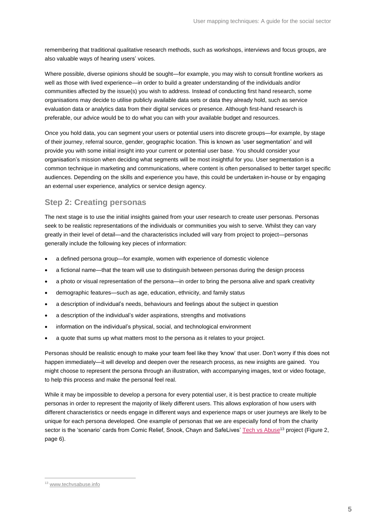remembering that traditional qualitative research methods, such as workshops, interviews and focus groups, are also valuable ways of hearing users' voices.

Where possible, diverse opinions should be sought—for example, you may wish to consult frontline workers as well as those with lived experience—in order to build a greater understanding of the individuals and/or communities affected by the issue(s) you wish to address. Instead of conducting first hand research, some organisations may decide to utilise publicly available data sets or data they already hold, such as service evaluation data or analytics data from their digital services or presence. Although first-hand research is preferable, our advice would be to do what you can with your available budget and resources.

Once you hold data, you can segment your users or potential users into discrete groups—for example, by stage of their journey, referral source, gender, geographic location. This is known as 'user segmentation' and will provide you with some initial insight into your current or potential user base. You should consider your organisation's mission when deciding what segments will be most insightful for you. User segmentation is a common technique in marketing and communications, where content is often personalised to better target specific audiences. Depending on the skills and experience you have, this could be undertaken in-house or by engaging an external user experience, analytics or service design agency.

## **Step 2: Creating personas**

The next stage is to use the initial insights gained from your user research to create user personas. Personas seek to be realistic representations of the individuals or communities you wish to serve. Whilst they can vary greatly in their level of detail—and the characteristics included will vary from project to project—personas generally include the following key pieces of information:

- a defined persona group-for example, women with experience of domestic violence
- a fictional name—that the team will use to distinguish between personas during the design process
- a photo or visual representation of the persona—in order to bring the persona alive and spark creativity
- demographic features—such as age, education, ethnicity, and family status
- a description of individual's needs, behaviours and feelings about the subject in question
- a description of the individual's wider aspirations, strengths and motivations
- information on the individual's physical, social, and technological environment
- a quote that sums up what matters most to the persona as it relates to your project.

Personas should be realistic enough to make your team feel like they 'know' that user. Don't worry if this does not happen immediately—it will develop and deepen over the research process, as new insights are gained. You might choose to represent the persona through an illustration, with accompanying images, text or video footage, to help this process and make the personal feel real.

While it may be impossible to develop a persona for every potential user, it is best practice to create multiple personas in order to represent the majority of likely different users. This allows exploration of how users with different characteristics or needs engage in different ways and experience maps or user journeys are likely to be unique for each persona developed. One example of personas that we are especially fond of from the charity sector is the 'scenario' cards from Comic Relief, Snook, Chayn and SafeLives' [Tech vs Abuse](https://www.techvsabuse.info/)<sup>13</sup> project (Figure 2, page 6).

 $\overline{a}$ 13 [www.techvsabuse.info](https://www.techvsabuse.info/)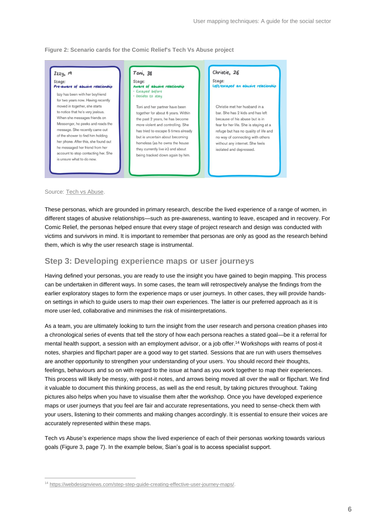**Figure 2: Scenario cards for the Comic Relief's Tech Vs Abuse project**



#### Source: [Tech vs Abuse.](http://www.techvsabuse.info/)

 $\overline{a}$ 

These personas, which are grounded in primary research, describe the lived experience of a range of women, in different stages of abusive relationships—such as pre-awareness, wanting to leave, escaped and in recovery. For Comic Relief, the personas helped ensure that every stage of project research and design was conducted with victims and survivors in mind. It is important to remember that personas are only as good as the research behind them, which is why the user research stage is instrumental.

## **Step 3: Developing experience maps or user journeys**

Having defined your personas, you are ready to use the insight you have gained to begin mapping. This process can be undertaken in different ways. In some cases, the team will retrospectively analyse the findings from the earlier exploratory stages to form the experience maps or user journeys. In other cases, they will provide handson settings in which to guide users to map their *own* experiences. The latter is our preferred approach as it is more user-led, collaborative and minimises the risk of misinterpretations.

As a team, you are ultimately looking to turn the insight from the user research and persona creation phases into a chronological series of events that tell the story of how each persona reaches a stated goal—be it a referral for mental health support, a session with an employment advisor, or a job offer. <sup>14</sup> Workshops with reams of post-it notes, sharpies and flipchart paper are a good way to get started. Sessions that are run with users themselves are another opportunity to strengthen your understanding of your users. You should record their thoughts, feelings, behaviours and so on with regard to the issue at hand as you work together to map their experiences. This process will likely be messy, with post-it notes, and arrows being moved all over the wall or flipchart. We find it valuable to document this thinking process, as well as the end result, by taking pictures throughout. Taking pictures also helps when you have to visualise them after the workshop. Once you have developed experience maps or user journeys that you feel are fair and accurate representations, you need to sense-check them with your users, listening to their comments and making changes accordingly. It is essential to ensure their voices are accurately represented within these maps.

Tech vs Abuse's experience maps show the lived experience of each of their personas working towards various goals (Figure 3, page 7). In the example below, Sian's goal is to access specialist support.

<sup>14</sup> [https://webdesignviews.com/step-step-guide-creating-effective-user-journey-maps/.](https://webdesignviews.com/step-step-guide-creating-effective-user-journey-maps/)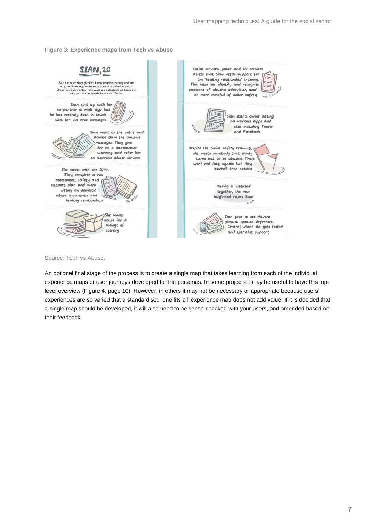**Figure 3: Experience maps from Tech vs Abuse**



#### Source: [Tech vs Abuse.](http://www.techvsabuse.info/)

An optional final stage of the process is to create a single map that takes learning from each of the individual experience maps or user journeys developed for the personas. In some projects it may be useful to have this toplevel overview (Figure 4, page 10). However, in others it may not be necessary or appropriate because users' experiences are so varied that a standardised 'one fits all' experience map does not add value. If it is decided that a single map should be developed, it will also need to be sense-checked with your users, and amended based on their feedback.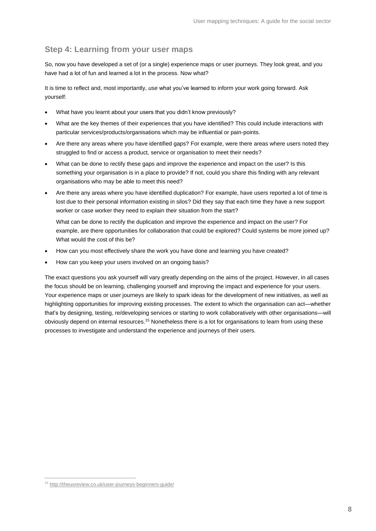## **Step 4: Learning from your user maps**

So, now you have developed a set of (or a single) experience maps or user journeys. They look great, and you have had a lot of fun and learned a lot in the process. Now what?

It is time to reflect and, most importantly, *use* what you've learned to inform your work going forward. Ask yourself:

- What have you learnt about your users that you didn't know previously?
- What are the key themes of their experiences that you have identified? This could include interactions with particular services/products/organisations which may be influential or pain-points.
- Are there any areas where you have identified gaps? For example, were there areas where users noted they struggled to find or access a product, service or organisation to meet their needs?
- What can be done to rectify these gaps and improve the experience and impact on the user? Is this something your organisation is in a place to provide? If not, could you share this finding with any relevant organisations who may be able to meet this need?
- Are there any areas where you have identified duplication? For example, have users reported a lot of time is lost due to their personal information existing in silos? Did they say that each time they have a new support worker or case worker they need to explain their situation from the start?

What can be done to rectify the duplication and improve the experience and impact on the user? For example, are there opportunities for collaboration that could be explored? Could systems be more joined up? What would the cost of this be?

- How can you most effectively share the work you have done and learning you have created?
- How can you keep your users involved on an ongoing basis?

The exact questions you ask yourself will vary greatly depending on the aims of the project. However, in all cases the focus should be on learning, challenging yourself and improving the impact and experience for your users. Your experience maps or user journeys are likely to spark ideas for the development of new initiatives, as well as highlighting opportunities for improving existing processes. The extent to which the organisation can act—whether that's by designing, testing, re/developing services or starting to work collaboratively with other organisations—will obviously depend on internal resources.<sup>15</sup> Nonetheless there is a lot for organisations to learn from using these processes to investigate and understand the experience and journeys of their users.

 $\overline{a}$ 

<sup>15</sup> <http://theuxreview.co.uk/user-journeys-beginners-guide/>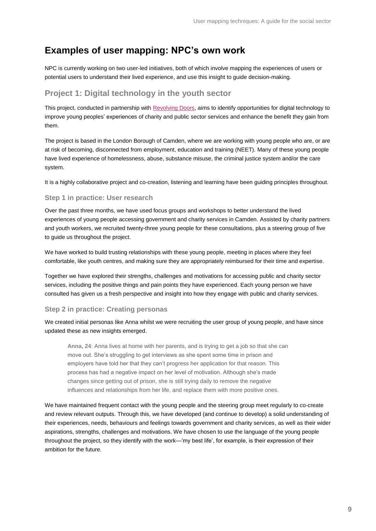# **Examples of user mapping: NPC's own work**

NPC is currently working on two user-led initiatives, both of which involve mapping the experiences of users or potential users to understand their lived experience, and use this insight to guide decision-making.

## **Project 1: Digital technology in the youth sector**

This project, conducted in partnership with [Revolving Doors,](http://www.revolving-doors.org.uk/) aims to identify opportunities for digital technology to improve young peoples' experiences of charity and public sector services and enhance the benefit they gain from them.

The project is based in the London Borough of Camden, where we are working with young people who are, or are at risk of becoming, disconnected from employment, education and training (NEET). Many of these young people have lived experience of homelessness, abuse, substance misuse, the criminal justice system and/or the care system.

It is a highly collaborative project and co-creation, listening and learning have been guiding principles throughout.

#### **Step 1 in practice: User research**

Over the past three months, we have used focus groups and workshops to better understand the lived experiences of young people accessing government and charity services in Camden. Assisted by charity partners and youth workers, we recruited twenty-three young people for these consultations, plus a steering group of five to guide us throughout the project.

We have worked to build trusting relationships with these young people, meeting in places where they feel comfortable, like youth centres, and making sure they are appropriately reimbursed for their time and expertise.

Together we have explored their strengths, challenges and motivations for accessing public and charity sector services, including the positive things and pain points they have experienced. Each young person we have consulted has given us a fresh perspective and insight into how they engage with public and charity services.

### **Step 2 in practice: Creating personas**

We created initial personas like Anna whilst we were recruiting the user group of young people, and have since updated these as new insights emerged.

**Anna, 24**: Anna lives at home with her parents, and is trying to get a job so that she can move out. She's struggling to get interviews as she spent some time in prison and employers have told her that they can't progress her application for that reason. This process has had a negative impact on her level of motivation. Although she's made changes since getting out of prison, she is still trying daily to remove the negative influences and relationships from her life, and replace them with more positive ones.

We have maintained frequent contact with the young people and the steering group meet regularly to co-create and review relevant outputs. Through this, we have developed (and continue to develop) a solid understanding of their experiences, needs, behaviours and feelings towards government and charity services, as well as their wider aspirations, strengths, challenges and motivations. We have chosen to use the language of the young people throughout the project, so they identify with the work—'my best life', for example, is their expression of their ambition for the future.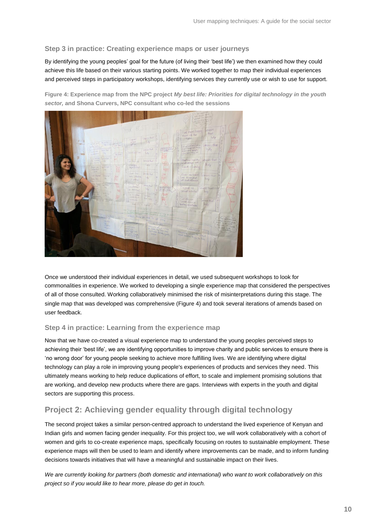### **Step 3 in practice: Creating experience maps or user journeys**

By identifying the young peoples' goal for the future (of living their 'best life') we then examined how they could achieve this life based on their various starting points. We worked together to map their individual experiences and perceived steps in participatory workshops, identifying services they currently use or wish to use for support.

**Figure 4: Experience map from the NPC project** *My best life: Priorities for digital technology in the youth sector,* **and Shona Curvers, NPC consultant who co-led the sessions**



Once we understood their individual experiences in detail, we used subsequent workshops to look for commonalities in experience. We worked to developing a single experience map that considered the perspectives of all of those consulted. Working collaboratively minimised the risk of misinterpretations during this stage. The single map that was developed was comprehensive (Figure 4) and took several iterations of amends based on user feedback.

### **Step 4 in practice: Learning from the experience map**

Now that we have co-created a visual experience map to understand the young peoples perceived steps to achieving their 'best life', we are identifying opportunities to improve charity and public services to ensure there is 'no wrong door' for young people seeking to achieve more fulfilling lives. We are identifying where digital technology can play a role in improving young people's experiences of products and services they need. This ultimately means working to help reduce duplications of effort, to scale and implement promising solutions that are working, and develop new products where there are gaps. Interviews with experts in the youth and digital sectors are supporting this process.

## **Project 2: Achieving gender equality through digital technology**

The second project takes a similar person-centred approach to understand the lived experience of Kenyan and Indian girls and women facing gender inequality. For this project too, we will work collaboratively with a cohort of women and girls to co-create experience maps, specifically focusing on routes to sustainable employment. These experience maps will then be used to learn and identify where improvements can be made, and to inform funding decisions towards initiatives that will have a meaningful and sustainable impact on their lives.

*We are currently looking for partners (both domestic and international) who want to work collaboratively on this project so if you would like to hear more, please do get in touch.*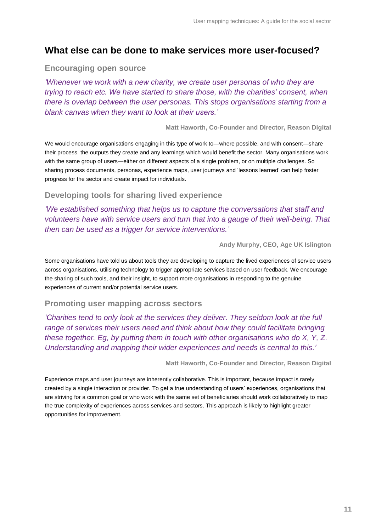# **What else can be done to make services more user-focused?**

### **Encouraging open source**

*'Whenever we work with a new charity, we create user personas of who they are trying to reach etc. We have started to share those, with the charities' consent, when there is overlap between the user personas. This stops organisations starting from a blank canvas when they want to look at their users.'*

**Matt Haworth, Co-Founder and Director, Reason Digital**

We would encourage organisations engaging in this type of work to—where possible, and with consent—share their process, the outputs they create and any learnings which would benefit the sector. Many organisations work with the same group of users—either on different aspects of a single problem, or on multiple challenges. So sharing process documents, personas, experience maps, user journeys and 'lessons learned' can help foster progress for the sector and create impact for individuals.

### **Developing tools for sharing lived experience**

*'We established something that helps us to capture the conversations that staff and volunteers have with service users and turn that into a gauge of their well-being. That then can be used as a trigger for service interventions.'*

**Andy Murphy, CEO, Age UK Islington**

Some organisations have told us about tools they are developing to capture the lived experiences of service users across organisations, utilising technology to trigger appropriate services based on user feedback. We encourage the sharing of such tools, and their insight, to support more organisations in responding to the genuine experiences of current and/or potential service users.

## **Promoting user mapping across sectors**

*'Charities tend to only look at the services they deliver. They seldom look at the full range of services their users need and think about how they could facilitate bringing these together. Eg, by putting them in touch with other organisations who do X, Y, Z. Understanding and mapping their wider experiences and needs is central to this.'*

**Matt Haworth, Co-Founder and Director, Reason Digital**

Experience maps and user journeys are inherently collaborative. This is important, because impact is rarely created by a single interaction or provider. To get a true understanding of users' experiences, organisations that are striving for a common goal or who work with the same set of beneficiaries should work collaboratively to map the true complexity of experiences across services and sectors. This approach is likely to highlight greater opportunities for improvement.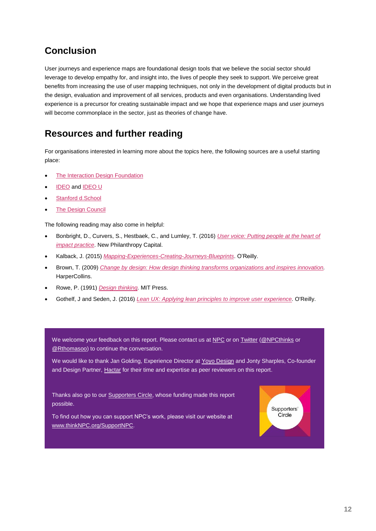# **Conclusion**

User journeys and experience maps are foundational design tools that we believe the social sector should leverage to develop empathy for, and insight into, the lives of people they seek to support. We perceive great benefits from increasing the use of user mapping techniques, not only in the development of digital products but in the design, evaluation and improvement of all services, products and even organisations. Understanding lived experience is a precursor for creating sustainable impact and we hope that experience maps and user journeys will become commonplace in the sector, just as theories of change have.

# **Resources and further reading**

For organisations interested in learning more about the topics here, the following sources are a useful starting place:

- [The Interaction Design Foundation](https://www.interaction-design.org/)
- [IDEO](https://www.ideo.com/eu) and [IDEO U](https://www.ideou.com/)
- [Stanford d.School](https://dschool.stanford.edu/)
- **[The Design Council](http://www.designcouncil.org.uk/)**

The following reading may also come in helpful:

- Bonbright, D., Curvers, S., Hestbaek, C., and Lumley, T. (2016) *[User voice: Putting people at the heart of](http://www.thinknpc.org/publications/user-voice-putting-people-at-the-heart-of-impact-practice/)  [impact practice](http://www.thinknpc.org/publications/user-voice-putting-people-at-the-heart-of-impact-practice/)*. New Philanthropy Capital.
- Kalback, J. (2015) *[Mapping-Experiences-Creating-Journeys-Blueprints](https://www.amazon.co.uk/Mapping-Experiences-Creating-Journeys-Blueprints/dp/1491923539)*. O'Reilly.
- Brown, T. (2009) *[Change by design: How design thinking transforms organizations and inspires innovation.](https://www.amazon.co.uk/Change-Design-Transforms-Organizations-Innovation/dp/0061766089/ref=sr_1_1?s=books&ie=UTF8&qid=1508775588&sr=1-1&keywords=Tim+brown%2C+Change+by+Design)*  HarperCollins.
- Rowe, P. (1991) *[Design thinking.](https://www.amazon.co.uk/DESIGN-THINKING-AUTHOR-Apr-1991-Paperback/dp/B00KM37IGY/ref=sr_1_1?s=books&ie=UTF8&qid=1508775777&sr=1-1&keywords=design+thinking%2C+peter+rowe)* MIT Press.
- Gothelf, J and Seden, J. (2016) *[Lean UX: Applying lean principles to improve user experience.](https://www.amazon.co.uk/Lean-UX-Applying-Principles-Experience/dp/1449311652/ref=sr_1_4?s=books&ie=UTF8&qid=1508775828&sr=1-4&keywords=lean+ux)* O'Reilly.

We welcome your feedback on this report. Please contact us a[t NPC](http://www.thinknpc.org/) or on [Twitter](https://twitter.com/NPCthinks) [\(@NPCthinks](https://twitter.com/NPCthinks) or [@Rthomasoo\)](https://twitter.com/RThomasoo) to continue the conversation.

We would like to thank Jan Golding, Experience Director at [Yoyo Design](https://yoyodesign.com/) and Jonty Sharples, Co-founder and Design Partner, [Hactar](file://///10.44.18.246/Shared/2.%20Projects/User%20Journeys/Mapping%20experiences%20paper%20Oct17/hactar.is) for their time and expertise as peer reviewers on this report.

Thanks also go to our **Supporters Circle**, whose funding made this report possible.

To find out how you can support NPC's work, please visit our website at [www.thinkNPC.org/SupportNPC.](http://www.thinknpc.org/SupportNPC)